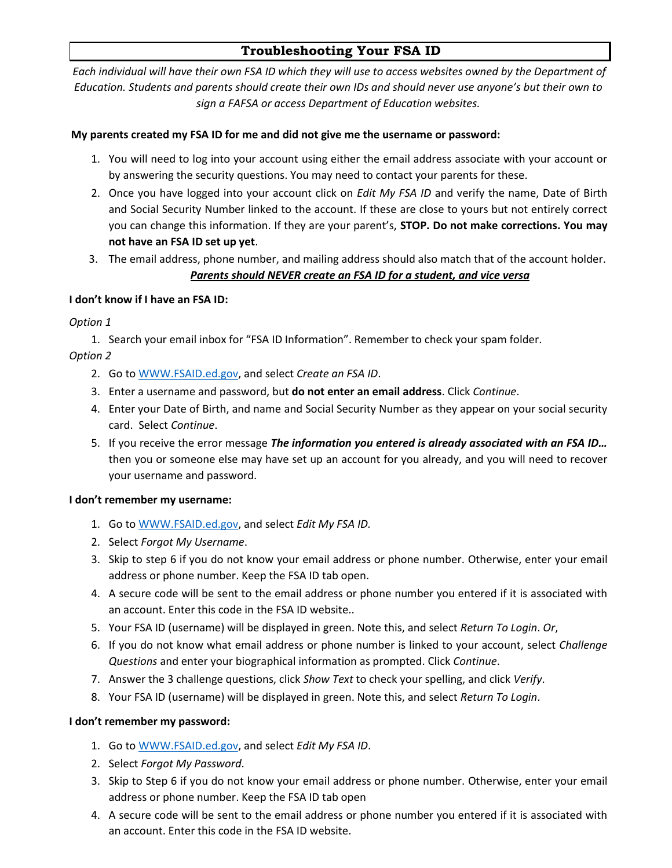# **Troubleshooting Your FSA ID**

*Each individual will have their own FSA ID which they will use to access websites owned by the Department of Education. Students and parents should create their own IDs and should never use anyone's but their own to sign a FAFSA or access Department of Education websites.*

# **My parents created my FSA ID for me and did not give me the username or password:**

- 1. You will need to log into your account using either the email address associate with your account or by answering the security questions. You may need to contact your parents for these.
- 2. Once you have logged into your account click on *Edit My FSA ID* and verify the name, Date of Birth and Social Security Number linked to the account. If these are close to yours but not entirely correct you can change this information. If they are your parent's, **STOP. Do not make corrections. You may not have an FSA ID set up yet**.
- 3. The email address, phone number, and mailing address should also match that of the account holder. *Parents should NEVER create an FSA ID for a student, and vice versa*

# **I don't know if I have an FSA ID:**

*Option 1* 

1. Search your email inbox for "FSA ID Information". Remember to check your spam folder. *Option 2* 

- 2. Go to [WWW.FSAID.ed.gov,](http://www.fsaid.ed.gov/) and select *Create an FSA ID*.
- 3. Enter a username and password, but **do not enter an email address**. Click *Continue*.
- 4. Enter your Date of Birth, and name and Social Security Number as they appear on your social security card. Select *Continue*.
- 5. If you receive the error message *The information you entered is already associated with an FSA ID…* then you or someone else may have set up an account for you already, and you will need to recover your username and password.

## **I don't remember my username:**

- 1. Go to [WWW.FSAID.ed.gov,](http://www.fsaid.ed.gov/) and select *Edit My FSA ID.*
- 2. Select *Forgot My Username*.
- 3. Skip to step 6 if you do not know your email address or phone number. Otherwise, enter your email address or phone number. Keep the FSA ID tab open.
- 4. A secure code will be sent to the email address or phone number you entered if it is associated with an account. Enter this code in the FSA ID website..
- 5. Your FSA ID (username) will be displayed in green. Note this, and select *Return To Login*. *Or*,
- 6. If you do not know what email address or phone number is linked to your account, select *Challenge Questions* and enter your biographical information as prompted. Click *Continue*.
- 7. Answer the 3 challenge questions, click *Show Text* to check your spelling, and click *Verify*.
- 8. Your FSA ID (username) will be displayed in green. Note this, and select *Return To Login*.

## **I don't remember my password:**

- 1. Go to [WWW.FSAID.ed.gov,](http://www.fsaid.ed.gov/) and select *Edit My FSA ID*.
- 2. Select *Forgot My Password*.
- 3. Skip to Step 6 if you do not know your email address or phone number. Otherwise, enter your email address or phone number. Keep the FSA ID tab open
- 4. A secure code will be sent to the email address or phone number you entered if it is associated with an account. Enter this code in the FSA ID website.